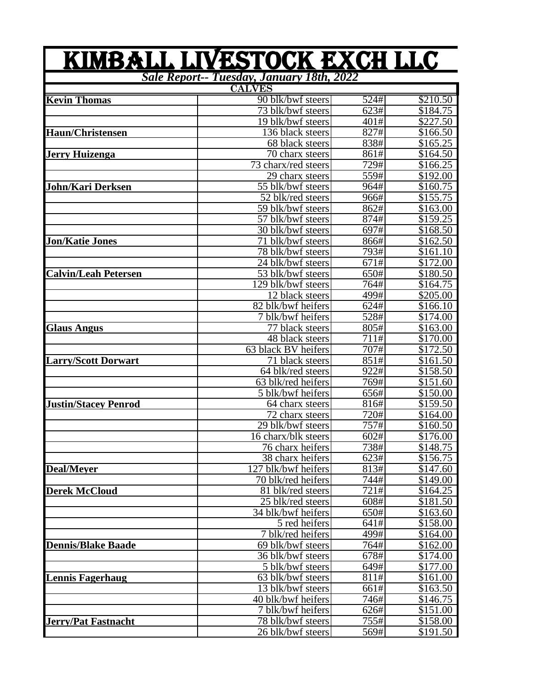|                                           | KIMBALL LIVESTOCK EXCH LLC     |                   |          |  |
|-------------------------------------------|--------------------------------|-------------------|----------|--|
| Sale Report-- Tuesday, January 18th, 2022 |                                |                   |          |  |
|                                           | <b>CALVES</b>                  |                   |          |  |
| <b>Kevin Thomas</b>                       | 90 blk/bwf steers              | 524#              | \$210.50 |  |
|                                           | 73 blk/bwf steers              | 623#              | \$184.75 |  |
|                                           | 19 blk/bwf steers              | 401#              | \$227.50 |  |
| Haun/Christensen                          | 136 black steers               | 827#              | \$166.50 |  |
|                                           | 68 black steers                | 838#              | \$165.25 |  |
| Jerry Huizenga                            | 70 charx steers                | 861#              | \$164.50 |  |
|                                           | 73 charx/red steers            | 729#              | \$166.25 |  |
|                                           | 29 charx steers                | 559#              | \$192.00 |  |
| John/Kari Derksen                         | 55 blk/bwf steers              | 964#              | \$160.75 |  |
|                                           | 52 blk/red steers              | 966#              | \$155.75 |  |
|                                           | 59 blk/bwf steers              | 862#              | \$163.00 |  |
|                                           | 57 blk/bwf steers              | 874#              | \$159.25 |  |
|                                           | 30 blk/bwf steers              | 697#              | \$168.50 |  |
| Jon/Katie Jones                           | blk/bwf steers                 | 866#              | \$162.50 |  |
|                                           | 78 blk/bwf steers              | 793#              | \$161.10 |  |
|                                           | 24 blk/bwf steers              | 671#              | \$172.00 |  |
| <b>Calvin/Leah Petersen</b>               | $\overline{53}$ blk/bwf steers | 650#              | \$180.50 |  |
|                                           | 129 blk/bwf steers             | 764#              | \$164.75 |  |
|                                           | 12 black steers                | 499#              | \$205.00 |  |
|                                           | 82 blk/bwf heifers             | $\overline{6}24#$ | \$166.10 |  |
|                                           | 7 blk/bwf heifers              | 528#              | \$174.00 |  |
| <b>Glaus Angus</b>                        | 77 black steers                | 805#              | \$163.00 |  |
|                                           | 48 black steers                | 711#              | \$170.00 |  |
|                                           | 63 black BV heifers            | 707#              | \$172.50 |  |
| Larry/Scott Dorwart                       | 71 black steers                | 851#              | \$161.50 |  |
|                                           | 64 blk/red steers              | 922#              | \$158.50 |  |
|                                           | 63 blk/red heifers             | 769#              | \$151.60 |  |
|                                           | 5 blk/bwf heifers              | 656#              | \$150.00 |  |
| Justin/Stacey Penrod                      | 64 charx steers                | 816#              | \$159.50 |  |
|                                           | 72 charx steers                | 720#              | \$164.00 |  |
|                                           | 29 blk/bwf steers              | 757#              | \$160.50 |  |
|                                           | 16 charx/blk steers            | 602#              | \$176.00 |  |
|                                           | 76 charx heifers               | $\overline{7}38#$ | \$148.75 |  |
|                                           | 38 charx heifers               | 623#              | \$156.75 |  |
| <b>Deal/Mever</b>                         | 127 blk/bwf heifers            | 813#              | \$147.60 |  |
|                                           | 70 blk/red heifers             | 744#              | \$149.00 |  |
| <b>Derek McCloud</b>                      | 81 blk/red steers              | 721#              | \$164.25 |  |
|                                           | 25 blk/red steers              | 608#              | \$181.50 |  |
|                                           | 34 blk/bwf heifers             | 650#              | \$163.60 |  |
|                                           | 5 red heifers                  | 641#              | \$158.00 |  |
|                                           | 7 blk/red heifers              | 499#              | \$164.00 |  |
| <b>Dennis/Blake Baade</b>                 | 69 blk/bwf steers              | 764#              | \$162.00 |  |
|                                           | 36 blk/bwf steers              | 678#              | \$174.00 |  |
|                                           | 5 blk/bwf steers               | 649#              | \$177.00 |  |
| Lennis Fagerhaug                          | 63 blk/bwf steers              | 811#              | \$161.00 |  |
|                                           | 13 blk/bwf steers              | 661#              | \$163.50 |  |
|                                           | 40 blk/bwf heifers             | 746#              | \$146.75 |  |
|                                           | 7 blk/bwf heifers              | 626#              | \$151.00 |  |
| <b>Jerry/Pat Fastnacht</b>                | 78 blk/bwf steers              | 755#              | \$158.00 |  |
|                                           | 26 blk/bwf steers              | 569#              | \$191.50 |  |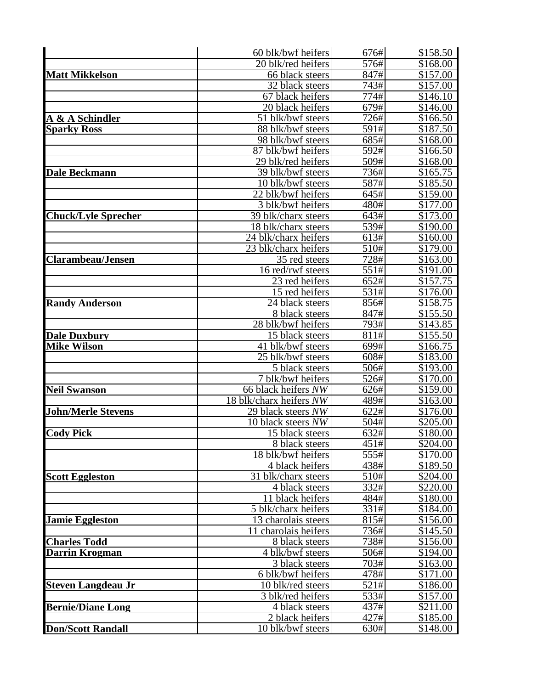|                            | 60 blk/bwf heifers                         | 676#         | \$158.50             |
|----------------------------|--------------------------------------------|--------------|----------------------|
|                            | 20 blk/red heifers                         | 576#         | \$168.00             |
| <b>Matt Mikkelson</b>      | 66 black steers                            | 847#         | \$157.00             |
|                            | 32 black steers                            | 743#         | \$157.00             |
|                            | 67 black heifers                           | 774#         | \$146.10             |
|                            | 20 black heifers                           | 679#         | \$146.00             |
| A & A Schindler            | 51 blk/bwf steers                          | 726#         | \$166.50             |
| <b>Sparky Ross</b>         | 88 blk/bwf steers                          | 591#         | \$187.50             |
|                            | 98 blk/bwf steers                          | 685#         | \$168.00             |
|                            | 87 blk/bwf heifers                         | 592#         | \$166.50             |
|                            | 29 blk/red heifers                         | 509#         | \$168.00             |
| <b>Dale Beckmann</b>       | 39 blk/bwf steers                          | 736#         | \$165.75             |
|                            | 10 blk/bwf steers                          | 587#         | \$185.50             |
|                            | 22 blk/bwf heifers                         | 645#         | \$159.00             |
|                            | 3 blk/bwf heifers                          | 480#<br>643# | \$177.00             |
| <b>Chuck/Lyle Sprecher</b> | 39 blk/charx steers<br>18 blk/charx steers | 539#         | \$173.00<br>\$190.00 |
|                            | $\overline{24}$ blk/charx heifers          | 613#         | \$160.00             |
|                            | 23 blk/charx heifers                       | 510#         | \$179.00             |
| <b>Clarambeau/Jensen</b>   | 35 red steers                              | 728#         | \$163.00             |
|                            | 16 red/rwf steers                          | 551#         | \$191.00             |
|                            | 23 red heifers                             | 652#         | \$157.75             |
|                            | 15 red heifers                             | 531#         | \$176.00             |
| <b>Randy Anderson</b>      | 24 black steers                            | 856#         | \$158.75             |
|                            | 8 black steers                             | 847#         | \$155.50             |
|                            | 28 blk/bwf heifers                         | 793#         | \$143.85             |
| <b>Dale Duxbury</b>        | 15 black steers                            | 811#         | \$155.50             |
| <b>Mike Wilson</b>         | 41 blk/bwf steers                          | 699#         | \$166.75             |
|                            | 25 blk/bwf steers                          | 608#         | \$183.00             |
|                            | 5 black steers                             | 506#         | \$193.00             |
|                            | 7 blk/bwf heifers                          | 526#         | \$170.00             |
| <b>Neil Swanson</b>        | 66 black heifers NW                        | 626#         | \$159.00             |
|                            | 18 blk/charx heifers NW                    | 489#         | \$163.00             |
| <b>John/Merle Stevens</b>  | 29 black steers NW                         | 622#         | \$176.00             |
|                            | 10 black steers NW                         | 504#         | \$205.00             |
| <b>Cody Pick</b>           | 15 black steers                            | 632#         | \$180.00             |
|                            | 8 black steers                             | 451#         | \$204.00             |
|                            | 18 blk/bwf heifers                         | 555#         | \$170.00             |
| <b>Scott Eggleston</b>     | 4 black heifers<br>31<br>blk/charx steers  | 438#<br>510# | \$189.50<br>\$204.00 |
|                            | 4 black steers                             | 332#         | \$220.00             |
|                            | 11 black heifers                           | 484#         | \$180.00             |
|                            | 5 blk/charx heifers                        | 331#         | \$184.00             |
| <b>Jamie Eggleston</b>     | 13 charolais steers                        | 815#         | \$156.00             |
|                            | 11 charolais heifers                       | 736#         | \$145.50             |
| <b>Charles Todd</b>        | 8 black steers                             | 738#         | \$156.00             |
| <b>Darrin Krogman</b>      | 4 blk/bwf steers                           | 506#         | \$194.00             |
|                            | 3 black steers                             | 703#         | \$163.00             |
|                            | 6 blk/bwf heifers                          | 478#         | \$171.00             |
| <b>Steven Langdeau Jr</b>  | 10 blk/red steers                          | 521#         | \$186.00             |
|                            | 3 blk/red heifers                          | 533#         | \$157.00             |
| <b>Bernie/Diane Long</b>   | 4 black steers                             | 437#         | \$211.00             |
|                            | 2 black heifers                            | 427#         | \$185.00             |
| <b>Don/Scott Randall</b>   | 10 blk/bwf steers                          | 630#         | \$148.00             |